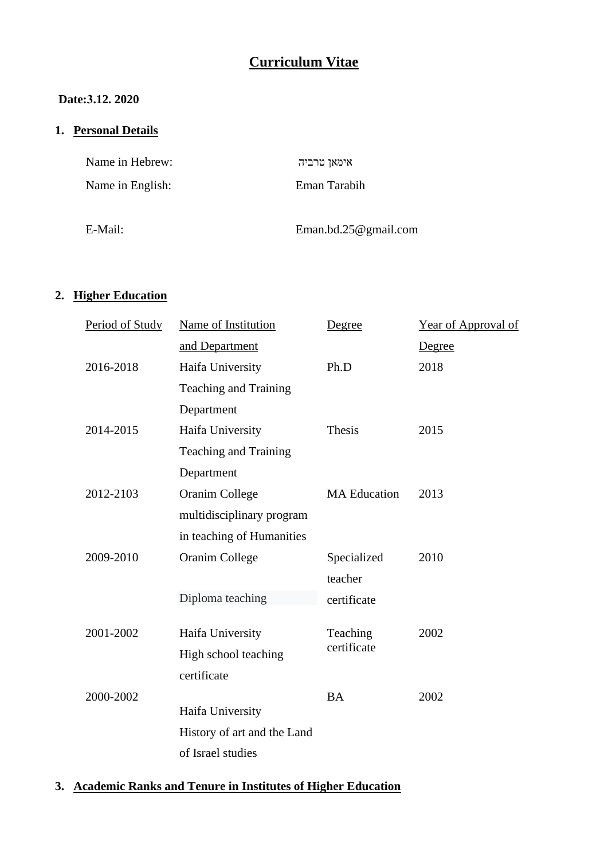# **Curriculum Vitae**

### **Date:3.12. 2020**

## **1. Personal Details**

| Name in Hebrew:  | אימאן טרביה              |
|------------------|--------------------------|
| Name in English: | Eman Tarabih             |
| E-Mail:          | Eman.bd.25 $@$ gmail.com |

#### **2. Higher Education**

| Period of Study | Name of Institution         | Degree                  | Year of Approval of |  |
|-----------------|-----------------------------|-------------------------|---------------------|--|
|                 | and Department              |                         | Degree              |  |
| 2016-2018       | Haifa University            | Ph.D                    | 2018                |  |
|                 | Teaching and Training       |                         |                     |  |
|                 | Department                  |                         |                     |  |
| 2014-2015       | Haifa University            | Thesis                  | 2015                |  |
|                 | Teaching and Training       |                         |                     |  |
|                 | Department                  |                         |                     |  |
| 2012-2103       | <b>Oranim College</b>       | <b>MA</b> Education     | 2013                |  |
|                 | multidisciplinary program   |                         |                     |  |
|                 | in teaching of Humanities   |                         |                     |  |
| 2009-2010       | <b>Oranim College</b>       | Specialized             | 2010                |  |
|                 |                             | teacher                 |                     |  |
|                 | Diploma teaching            | certificate             |                     |  |
|                 |                             |                         |                     |  |
| 2001-2002       | Haifa University            | Teaching<br>certificate | 2002                |  |
|                 | High school teaching        |                         |                     |  |
|                 | certificate                 |                         |                     |  |
| 2000-2002       |                             | <b>BA</b>               | 2002                |  |
|                 | Haifa University            |                         |                     |  |
|                 | History of art and the Land |                         |                     |  |
|                 | of Israel studies           |                         |                     |  |

### **3. Academic Ranks and Tenure in Institutes of Higher Education**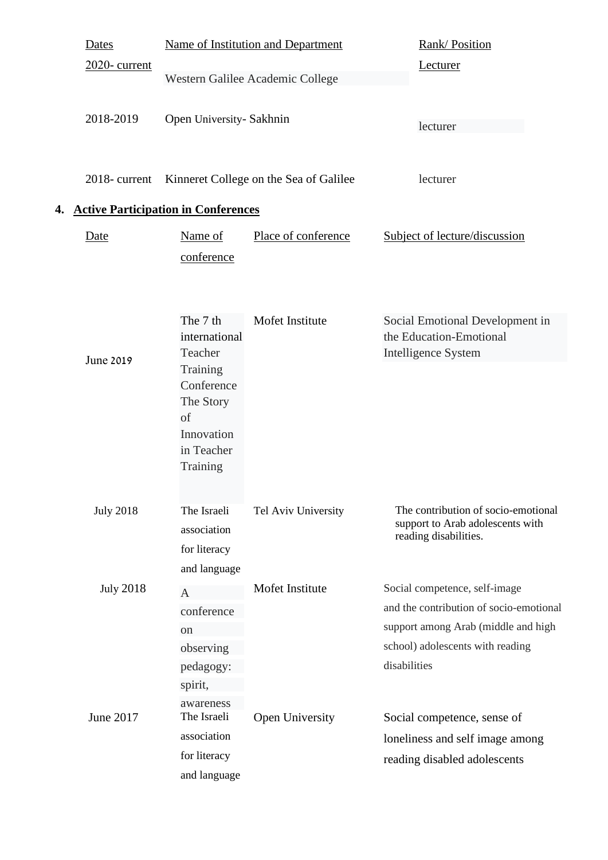|           | <b>Dates</b>                         | Name of Institution and Department<br><b>Rank/Position</b>                        |                                                                                                                    |                                                                                                  |
|-----------|--------------------------------------|-----------------------------------------------------------------------------------|--------------------------------------------------------------------------------------------------------------------|--------------------------------------------------------------------------------------------------|
|           | $2020$ - current                     |                                                                                   | Western Galilee Academic College                                                                                   | Lecturer                                                                                         |
|           | 2018-2019                            | Open University- Sakhnin                                                          |                                                                                                                    | lecturer                                                                                         |
|           | 2018-current                         | Kinneret College on the Sea of Galilee                                            |                                                                                                                    | lecturer                                                                                         |
| 4.        |                                      | <b>Active Participation in Conferences</b>                                        |                                                                                                                    |                                                                                                  |
|           | Date                                 | Name of<br>conference                                                             | Place of conference                                                                                                | Subject of lecture/discussion                                                                    |
| June 2019 | The 7 th<br>international<br>Teacher | Mofet Institute                                                                   | Social Emotional Development in<br>the Education-Emotional<br>Intelligence System                                  |                                                                                                  |
|           |                                      | Training<br>Conference<br>The Story<br>of<br>Innovation<br>in Teacher<br>Training |                                                                                                                    |                                                                                                  |
|           | <b>July 2018</b>                     | The Israeli<br>association<br>for literacy<br>and language                        | Tel Aviv University                                                                                                | The contribution of socio-emotional<br>support to Arab adolescents with<br>reading disabilities. |
|           | <b>July 2018</b>                     | $\overline{A}$                                                                    | Mofet Institute                                                                                                    | Social competence, self-image                                                                    |
|           | conference                           |                                                                                   | and the contribution of socio-emotional<br>support among Arab (middle and high<br>school) adolescents with reading |                                                                                                  |
|           | on                                   |                                                                                   |                                                                                                                    |                                                                                                  |
|           | observing                            |                                                                                   |                                                                                                                    |                                                                                                  |
|           |                                      | pedagogy:                                                                         |                                                                                                                    | disabilities                                                                                     |
|           | June 2017                            | spirit,<br>awareness<br>The Israeli                                               | Open University                                                                                                    | Social competence, sense of                                                                      |
|           |                                      | association                                                                       |                                                                                                                    | loneliness and self image among                                                                  |
|           |                                      | for literacy                                                                      |                                                                                                                    | reading disabled adolescents                                                                     |
|           | and language                         |                                                                                   |                                                                                                                    |                                                                                                  |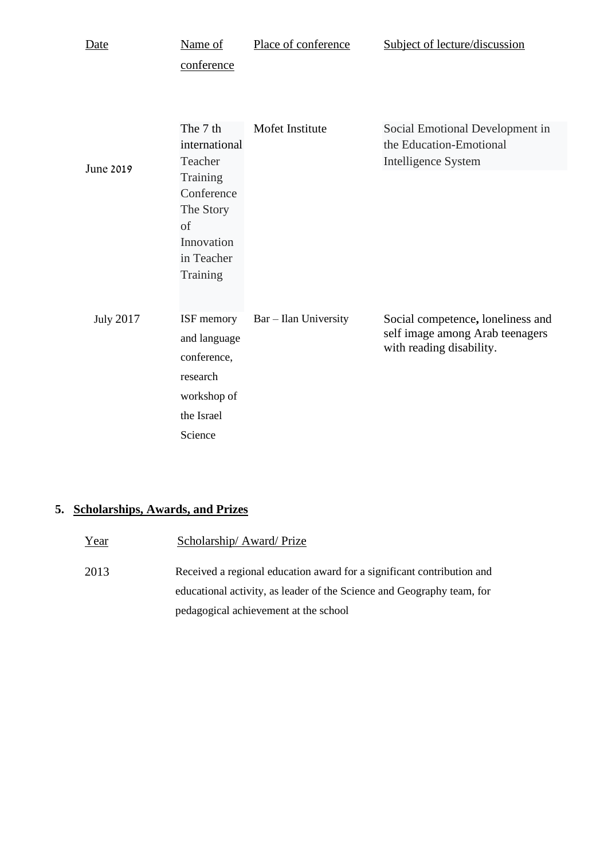| Date             | Name of                                                                            | Place of conference   | Subject of lecture/discussion                                                                    |
|------------------|------------------------------------------------------------------------------------|-----------------------|--------------------------------------------------------------------------------------------------|
|                  | conference                                                                         |                       |                                                                                                  |
| June 2019        | The 7 th<br>international<br>Teacher                                               | Mofet Institute       | Social Emotional Development in<br>the Education-Emotional<br><b>Intelligence System</b>         |
|                  | Training<br>Conference<br>The Story<br>of<br>Innovation<br>in Teacher<br>Training  |                       |                                                                                                  |
| <b>July 2017</b> | ISF memory<br>and language<br>conference,<br>research<br>workshop of<br>the Israel | Bar - Ilan University | Social competence, loneliness and<br>self image among Arab teenagers<br>with reading disability. |
|                  | Science                                                                            |                       |                                                                                                  |

## **5. Scholarships, Awards, and Prizes**

| Year | Scholarship/Award/Prize                                                                                                                          |
|------|--------------------------------------------------------------------------------------------------------------------------------------------------|
| 2013 | Received a regional education award for a significant contribution and<br>educational activity, as leader of the Science and Geography team, for |
|      | pedagogical achievement at the school                                                                                                            |